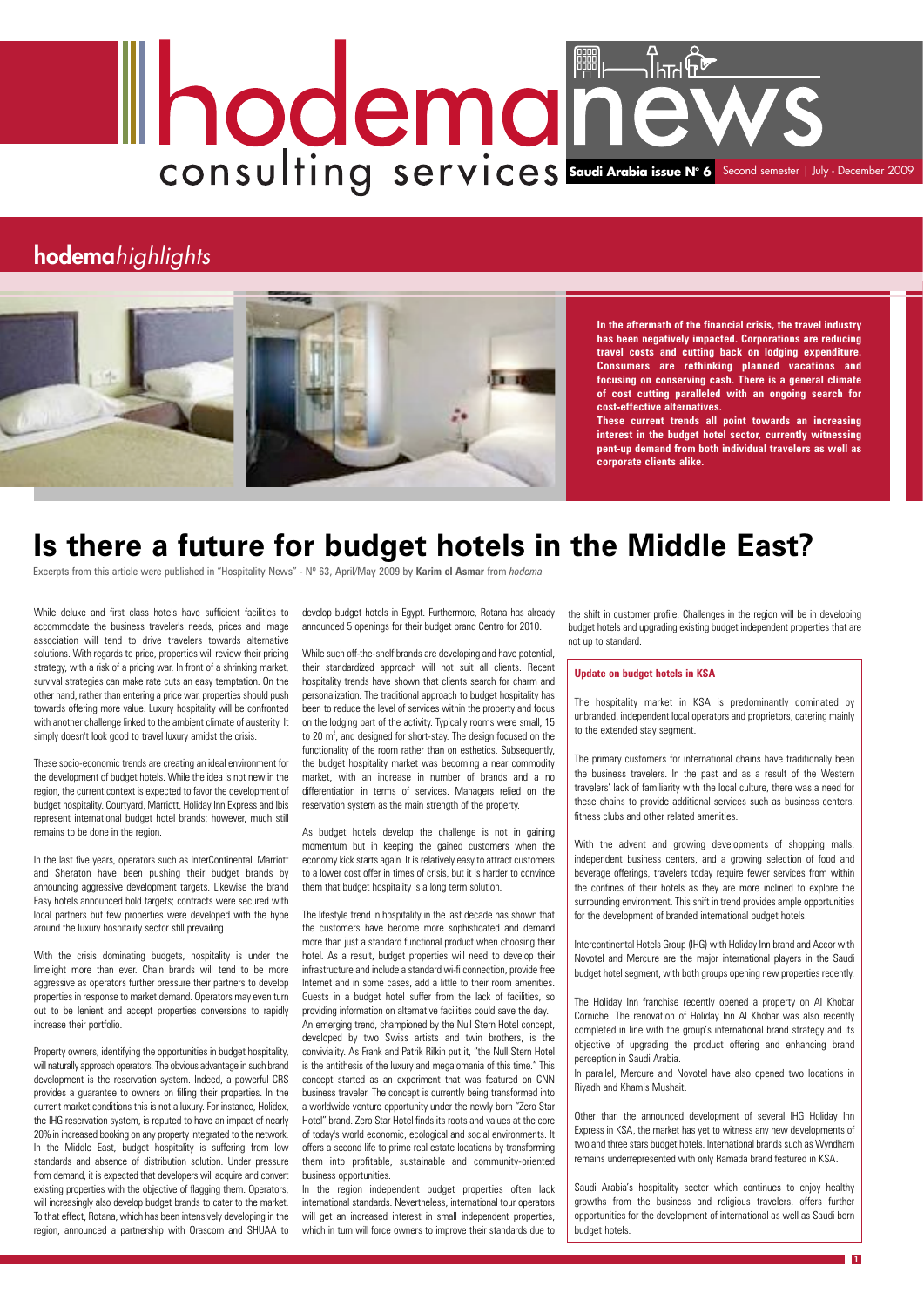While deluxe and first class hotels have sufficient facilities to accommodate the business traveler's needs, prices and image association will tend to drive travelers towards alternative solutions. With regards to price, properties will review their pricing strategy, with a risk of a pricing war. In front of a shrinking market, survival strategies can make rate cuts an easy temptation. On the other hand, rather than entering a price war, properties should push towards offering more value. Luxury hospitality will be confronted with another challenge linked to the ambient climate of austerity. It simply doesn't look good to travel luxury amidst the crisis.

These socio-economic trends are creating an ideal environment for the development of budget hotels. While the idea is not new in the region, the current context is expected to favor the development of budget hospitality. Courtyard, Marriott, Holiday Inn Express and Ibis represent international budget hotel brands; however, much still remains to be done in the region.

In the last five years, operators such as InterContinental, Marriott and Sheraton have been pushing their budget brands by announcing aggressive development targets. Likewise the brand Easy hotels announced bold targets; contracts were secured with local partners but few properties were developed with the hype around the luxury hospitality sector still prevailing.

With the crisis dominating budgets, hospitality is under the limelight more than ever. Chain brands will tend to be more aggressive as operators further pressure their partners to develop properties in response to market demand. Operators may even turn out to be lenient and accept properties conversions to rapidly increase their portfolio.

Property owners, identifying the opportunities in budget hospitality, will naturally approach operators. The obvious advantage in such brand development is the reservation system. Indeed, a powerful CRS provides a guarantee to owners on filling their properties. In the current market conditions this is not a luxury. For instance, Holidex, the IHG reservation system, is reputed to have an impact of nearly 20% in increased booking on any property integrated to the network. In the Middle East, budget hospitality is suffering from low standards and absence of distribution solution. Under pressure from demand, it is expected that developers will acquire and convert existing properties with the objective of flagging them. Operators, will increasingly also develop budget brands to cater to the market. To that effect, Rotana, which has been intensively developing in the region, announced a partnership with Orascom and SHUAA to

develop budget hotels in Egypt. Furthermore, Rotana has already announced 5 openings for their budget brand Centro for 2010.

# $\sqrt{1}$ hTrl $\widetilde{F}$ **Saudi Arabia issue No 6** Second semester | July - December 2009

### **hodema**highlights



While such off-the-shelf brands are developing and have potential, their standardized approach will not suit all clients. Recent hospitality trends have shown that clients search for charm and personalization. The traditional approach to budget hospitality has been to reduce the level of services within the property and focus on the lodging part of the activity. Typically rooms were small, 15 to 20  $m^2$ , and designed for short-stay. The design focused on the functionality of the room rather than on esthetics. Subsequently, the budget hospitality market was becoming a near commodity market, with an increase in number of brands and a no differentiation in terms of services. Managers relied on the reservation system as the main strength of the property.

As budget hotels develop the challenge is not in gaining momentum but in keeping the gained customers when the economy kick starts again. It is relatively easy to attract customers to a lower cost offer in times of crisis, but it is harder to convince them that budget hospitality is a long term solution.

The lifestyle trend in hospitality in the last decade has shown that the customers have become more sophisticated and demand more than just a standard functional product when choosing their hotel. As a result, budget properties will need to develop their infrastructure and include a standard wi-fi connection, provide free Internet and in some cases, add a little to their room amenities. Guests in a budget hotel suffer from the lack of facilities, so providing information on alternative facilities could save the day. An emerging trend, championed by the Null Stern Hotel concept, developed by two Swiss artists and twin brothers, is the conviviality. As Frank and Patrik Rilkin put it, "the Null Stern Hotel is the antithesis of the luxury and megalomania of this time." This concept started as an experiment that was featured on CNN business traveler. The concept is currently being transformed into a worldwide venture opportunity under the newly born "Zero Star Hotel" brand. Zero Star Hotel finds its roots and values at the core of today's world economic, ecological and social environments. It offers a second life to prime real estate locations by transforming them into profitable, sustainable and community-oriented business opportunities. In the region independent budget properties often lack international standards. Nevertheless, international tour operators will get an increased interest in small independent properties, which in turn will force owners to improve their standards due to

**1**

## **Is there a future for budget hotels in the Middle East?**

Excerpts from this article were published in "Hospitality News" - Nº 63, April/May 2009 by **Karim el Asmar** from *hodema*

the shift in customer profile. Challenges in the region will be in developing budget hotels and upgrading existing budget independent properties that are not up to standard.

**In the aftermath of the financial crisis, the travel industry has been negatively impacted. Corporations are reducing travel costs and cutting back on lodging expenditure. Consumers are rethinking planned vacations and focusing on conserving cash. There is a general climate of cost cutting paralleled with an ongoing search for cost-effective alternatives.**

**These current trends all point towards an increasing interest in the budget hotel sector, currently witnessing pent-up demand from both individual travelers as well as corporate clients alike.**

#### **Update on budget hotels in KSA**

The hospitality market in KSA is predominantly dominated by unbranded, independent local operators and proprietors, catering mainly to the extended stay segment.

The primary customers for international chains have traditionally been the business travelers. In the past and as a result of the Western travelers' lack of familiarity with the local culture, there was a need for these chains to provide additional services such as business centers, fitness clubs and other related amenities.

With the advent and growing developments of shopping malls, independent business centers, and a growing selection of food and beverage offerings, travelers today require fewer services from within the confines of their hotels as they are more inclined to explore the surrounding environment. This shift in trend provides ample opportunities for the development of branded international budget hotels.

Intercontinental Hotels Group (IHG) with Holiday Inn brand and Accor with Novotel and Mercure are the major international players in the Saudi budget hotel segment, with both groups opening new properties recently.

The Holiday Inn franchise recently opened a property on Al Khobar Corniche. The renovation of Holiday Inn Al Khobar was also recently completed in line with the group's international brand strategy and its objective of upgrading the product offering and enhancing brand perception in Saudi Arabia.

In parallel, Mercure and Novotel have also opened two locations in Riyadh and Khamis Mushait.

Other than the announced development of several IHG Holiday Inn Express in KSA, the market has yet to witness any new developments of two and three stars budget hotels. International brands such as Wyndham remains underrepresented with only Ramada brand featured in KSA.

Saudi Arabia's hospitality sector which continues to enjoy healthy growths from the business and religious travelers, offers further opportunities for the development of international as well as Saudi born budget hotels.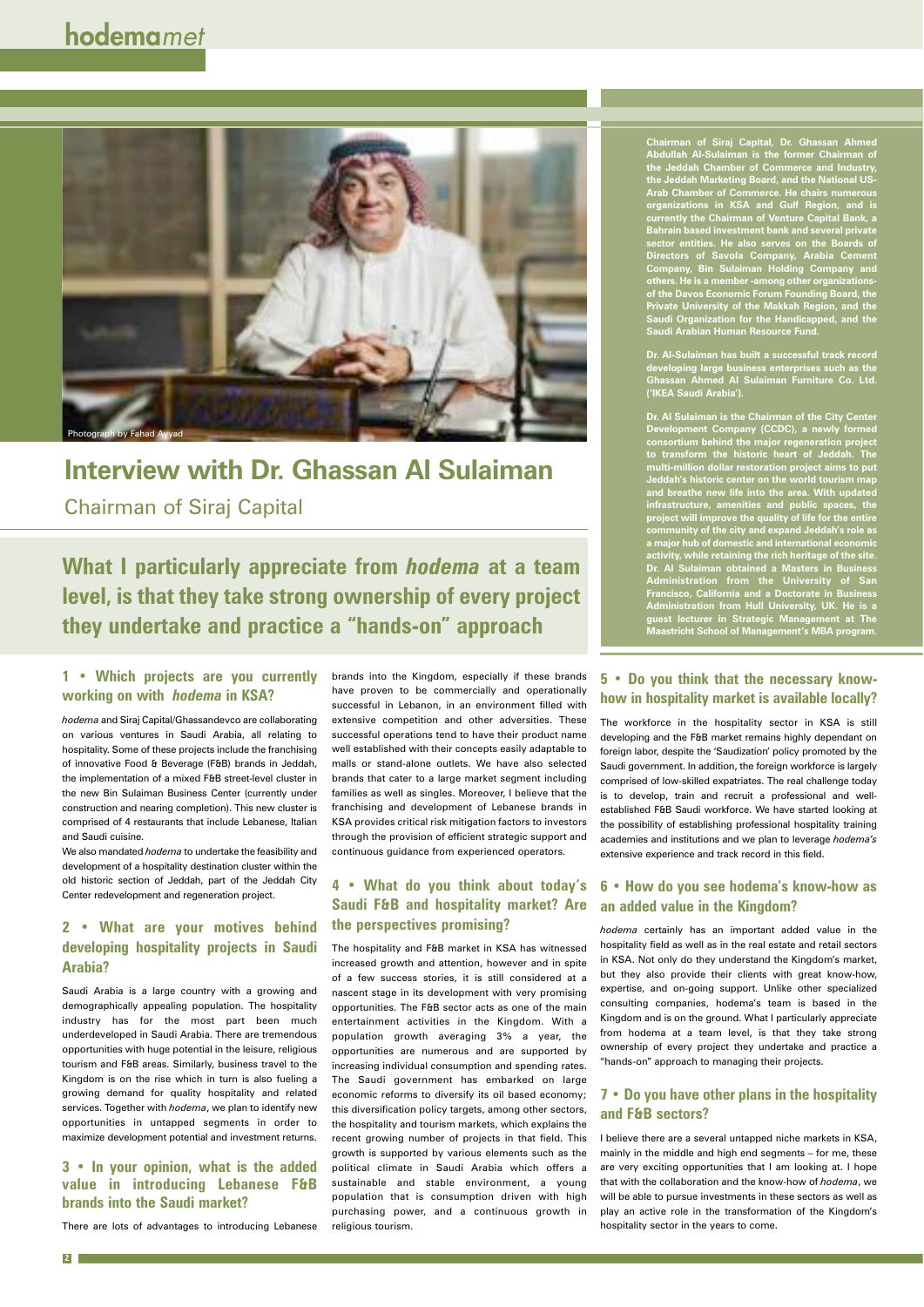## **Interview with Dr. Ghassan Al Sulaiman**

Chairman of Siraj Capital

#### **1 • Which projects are you currently working on with** *hodema* **in KSA?**

*hodema* and Siraj Capital/Ghassandevco are collaborating on various ventures in Saudi Arabia, all relating to hospitality. Some of these projects include the franchising of innovative Food & Beverage (F&B) brands in Jeddah, the implementation of a mixed F&B street-level cluster in the new Bin Sulaiman Business Center (currently under construction and nearing completion). This new cluster is comprised of 4 restaurants that include Lebanese, Italian and Saudi cuisine.

We also mandated *hodema* to undertake the feasibility and development of a hospitality destination cluster within the old historic section of Jeddah, part of the Jeddah City Center redevelopment and regeneration project.

#### **2 • What are your motives behind developing hospitality projects in Saudi Arabia?**

Saudi Arabia is a large country with a growing and demographically appealing population. The hospitality industry has for the most part been much underdeveloped in Saudi Arabia. There are tremendous opportunities with huge potential in the leisure, religious tourism and F&B areas. Similarly, business travel to the Kingdom is on the rise which in turn is also fueling a growing demand for quality hospitality and related services. Together with *hodema*, we plan to identify new opportunities in untapped segments in order to maximize development potential and investment returns.

#### **3 • In your opinion, what is the added value in introducing Lebanese F&B brands into the Saudi market?**

There are lots of advantages to introducing Lebanese

## **What I particularly appreciate from** *hodema* **at a team level, is that they take strong ownership of every project they undertake and practice a "hands-on" approach**

**2**

brands into the Kingdom, especially if these brands have proven to be commercially and operationally successful in Lebanon, in an environment filled with extensive competition and other adversities. These successful operations tend to have their product name well established with their concepts easily adaptable to malls or stand-alone outlets. We have also selected brands that cater to a large market segment including families as well as singles. Moreover, I believe that the franchising and development of Lebanese brands in KSA provides critical risk mitigation factors to investors through the provision of efficient strategic support and continuous guidance from experienced operators.

#### **4 • What do you think about today's Saudi F&B and hospitality market? Are the perspectives promising?**

The hospitality and F&B market in KSA has witnessed increased growth and attention, however and in spite of a few success stories, it is still considered at a nascent stage in its development with very promising opportunities. The F&B sector acts as one of the main entertainment activities in the Kingdom. With a population growth averaging 3% a year, the opportunities are numerous and are supported by increasing individual consumption and spending rates. The Saudi government has embarked on large economic reforms to diversify its oil based economy; this diversification policy targets, among other sectors, the hospitality and tourism markets, which explains the recent growing number of projects in that field. This growth is supported by various elements such as the political climate in Saudi Arabia which offers a sustainable and stable environment, a young population that is consumption driven with high purchasing power, and a continuous growth in religious tourism.

**Chairman of Siraj Capital, Dr. Ghassan Ahmed Abdullah Al-Sulaiman is the former Chairman of the Jeddah Chamber of Commerce and Industry, the Jeddah Marketing Board, and the National US-Arab Chamber of Commerce. He chairs numerous organizations in KSA and Gulf Region, and is currently the Chairman of Venture Capital Bank, a Bahrain based investment bank and several private sector entities. He also serves on the Boards of Directors of Savola Company, Arabia Cement Company, Bin Sulaiman Holding Company and others. He is a member -among other organizationsof the Davos Economic Forum Founding Board, the Private University of the Makkah Region, and the Saudi Organization for the Handicapped, and the Saudi Arabian Human Resource Fund.**

**Dr. Al-Sulaiman has built a successful track record developing large business enterprises such as the Ghassan Ahmed Al Sulaiman Furniture Co. Ltd. ('IKEA Saudi Arabia').**

**Dr. Al Sulaiman is the Chairman of the City Center Development Company (CCDC), a newly formed consortium behind the major regeneration project to transform the historic heart of Jeddah. The multi-million dollar restoration project aims to put Jeddah's historic center on the world tourism map and breathe new life into the area. With updated infrastructure, amenities and public spaces, the project will improve the quality of life for the entire community of the city and expand Jeddah's role as a major hub of domestic and international economic activity, while retaining the rich heritage of the site. Dr. Al Sulaiman obtained a Masters in Business Administration from the University of San Francisco, California and a Doctorate in Business Administration from Hull University, UK. He is a guest lecturer in Strategic Management at The Maastricht School of Management's MBA program.**

#### **5 • Do you think that the necessary knowhow in hospitality market is available locally?**

The workforce in the hospitality sector in KSA is still developing and the F&B market remains highly dependant on foreign labor, despite the 'Saudization' policy promoted by the Saudi government. In addition, the foreign workforce is largely comprised of low-skilled expatriates. The real challenge today is to develop, train and recruit a professional and wellestablished F&B Saudi workforce. We have started looking at the possibility of establishing professional hospitality training academies and institutions and we plan to leverage *hodema's* extensive experience and track record in this field.

#### **6 • How do you see hodema's know-how as an added value in the Kingdom?**

*hodema* certainly has an important added value in the hospitality field as well as in the real estate and retail sectors in KSA. Not only do they understand the Kingdom's market, but they also provide their clients with great know-how, expertise, and on-going support. Unlike other specialized consulting companies, hodema's team is based in the Kingdom and is on the ground. What I particularly appreciate from hodema at a team level, is that they take strong ownership of every project they undertake and practice a "hands-on" approach to managing their projects.

#### **7 • Do you have other plans in the hospitality and F&B sectors?**

I believe there are a several untapped niche markets in KSA, mainly in the middle and high end segments – for me, these are very exciting opportunities that I am looking at. I hope that with the collaboration and the know-how of *hodema*, we will be able to pursue investments in these sectors as well as play an active role in the transformation of the Kingdom's hospitality sector in the years to come.

## hodemamet

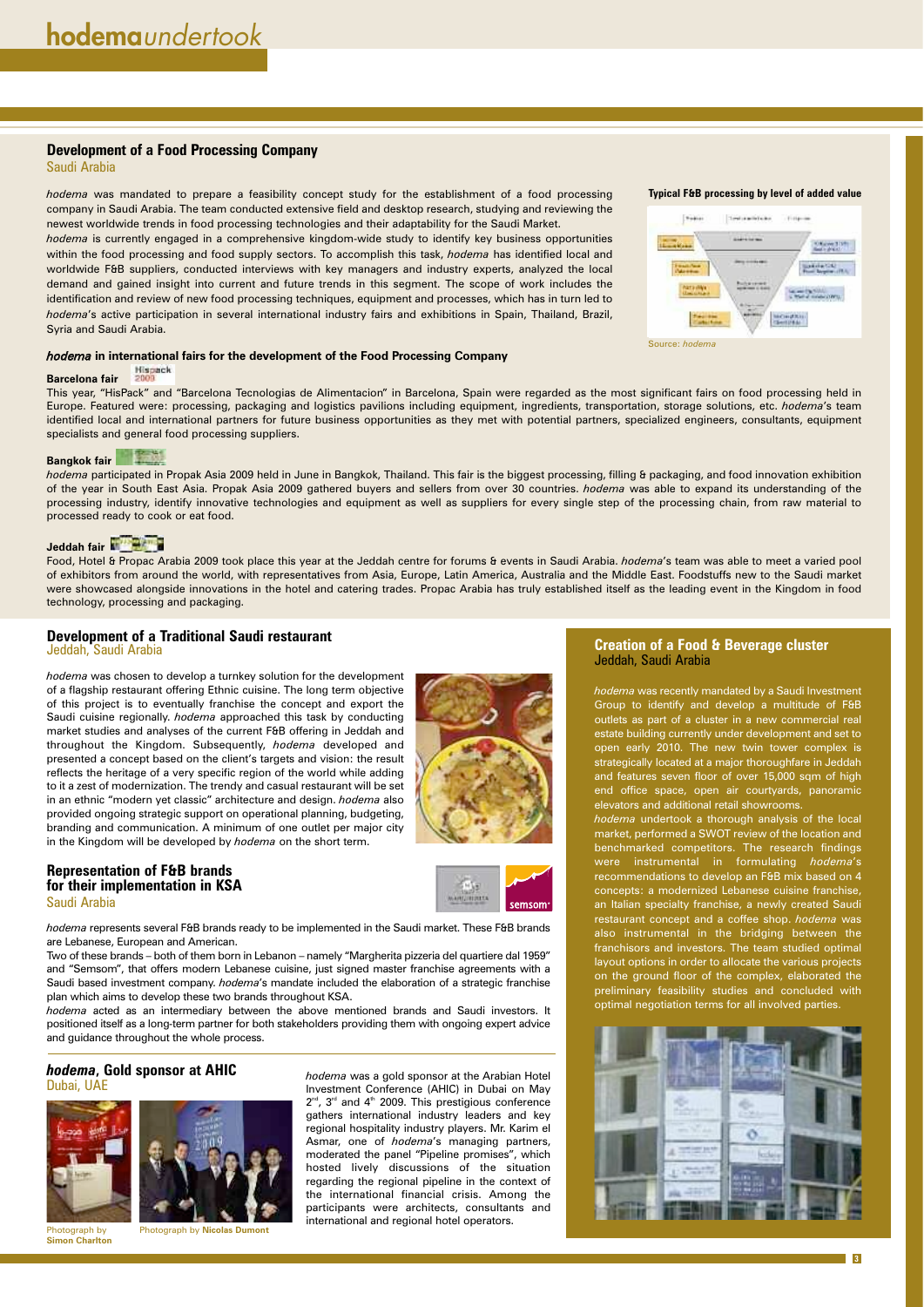#### **Development of a Traditional Saudi restaurant**

Jeddah, Saudi Arabia

*hodema* was chosen to develop a turnkey solution for the development of a flagship restaurant offering Ethnic cuisine. The long term objective of this project is to eventually franchise the concept and export the Saudi cuisine regionally. *hodema* approached this task by conducting market studies and analyses of the current F&B offering in Jeddah and throughout the Kingdom. Subsequently, *hodema* developed and presented a concept based on the client's targets and vision: the result reflects the heritage of a very specific region of the world while adding to it a zest of modernization. The trendy and casual restaurant will be set in an ethnic "modern yet classic" architecture and design. *hodema* also provided ongoing strategic support on operational planning, budgeting, branding and communication. A minimum of one outlet per major city in the Kingdom will be developed by *hodema* on the short term.

#### **Development of a Food Processing Company**

Saudi Arabia

*hodema* was mandated to prepare a feasibility concept study for the establishment of a food processing company in Saudi Arabia. The team conducted extensive field and desktop research, studying and reviewing the newest worldwide trends in food processing technologies and their adaptability for the Saudi Market.

*hodema* is currently engaged in a comprehensive kingdom-wide study to identify key business opportunities within the food processing and food supply sectors. To accomplish this task, *hodema* has identified local and worldwide F&B suppliers, conducted interviews with key managers and industry experts, analyzed the local demand and gained insight into current and future trends in this segment. The scope of work includes the identification and review of new food processing techniques, equipment and processes, which has in turn led to *hodema*'s active participation in several international industry fairs and exhibitions in Spain, Thailand, Brazil, Syria and Saudi Arabia.

**3**

*hodema* was a gold sponsor at the Arabian Hotel Investment Conference (AHIC) in Dubai on May  $2^{nd}$ ,  $3^{rd}$  and  $4^{th}$  2009. This prestigious conference gathers international industry leaders and key regional hospitality industry players. Mr. Karim el Asmar, one of *hodema*'s managing partners, moderated the panel "Pipeline promises", which hosted lively discussions of the situation regarding the regional pipeline in the context of the international financial crisis. Among the participants were architects, consultants and international and regional hotel operators.

#### **Representation of F&B brands for their implementation in KSA** Saudi Arabia



*hodema* represents several F&B brands ready to be implemented in the Saudi market. These F&B brands are Lebanese, European and American.

Two of these brands – both of them born in Lebanon – namely "Margherita pizzeria del quartiere dal 1959" and "Semsom", that offers modern Lebanese cuisine, just signed master franchise agreements with a Saudi based investment company. *hodema*'s mandate included the elaboration of a strategic franchise

plan which aims to develop these two brands throughout KSA.

*hodema* acted as an intermediary between the above mentioned brands and Saudi investors. It positioned itself as a long-term partner for both stakeholders providing them with ongoing expert advice and guidance throughout the whole process.

#### *hodema***, Gold sponsor at AHIC** Dubai, UAE



Photograph by **Simon Charlton**

Photograph by **Nicolas Dumont**

#### **Creation of a Food & Beverage cluster** Jeddah, Saudi Arabia

*hodema* was recently mandated by a Saudi Investment Group to identify and develop a multitude of F&B outlets as part of a cluster in a new commercial real estate building currently under development and set to open early 2010. The new twin tower complex is strategically located at a major thoroughfare in Jeddah and features seven floor of over 15,000 sqm of high end office space, open air courtyards, panoramic elevators and additional retail showrooms.

*hodema* undertook a thorough analysis of the local market, performed a SWOT review of the location and benchmarked competitors. The research findings were instrumental in formulating *hodema*'s recommendations to develop an F&B mix based on 4 concepts: a modernized Lebanese cuisine franchise, an Italian specialty franchise, a newly created Saudi restaurant concept and a coffee shop. *hodema* was also instrumental in the bridging between the franchisors and investors. The team studied optimal layout options in order to allocate the various projects on the ground floor of the complex, elaborated the

preliminary feasibility studies and concluded with optimal negotiation terms for all involved parties.



#### *hodema* **in international fairs for the development of the Food Processing Company**

#### Hispack **Barcelona fair** 2009

This year, "HisPack" and "Barcelona Tecnologias de Alimentacion" in Barcelona, Spain were regarded as the most significant fairs on food processing held in Europe. Featured were: processing, packaging and logistics pavilions including equipment, ingredients, transportation, storage solutions, etc. *hodema*'s team identified local and international partners for future business opportunities as they met with potential partners, specialized engineers, consultants, equipment specialists and general food processing suppliers.

#### **Bangkok fair**

*hodema* participated in Propak Asia 2009 held in June in Bangkok, Thailand. This fair is the biggest processing, filling & packaging, and food innovation exhibition of the year in South East Asia. Propak Asia 2009 gathered buyers and sellers from over 30 countries. *hodema* was able to expand its understanding of the processing industry, identify innovative technologies and equipment as well as suppliers for every single step of the processing chain, from raw material to processed ready to cook or eat food.

#### **Jeddah fair**

Food, Hotel & Propac Arabia 2009 took place this year at the Jeddah centre for forums & events in Saudi Arabia. *hodema*'s team was able to meet a varied pool of exhibitors from around the world, with representatives from Asia, Europe, Latin America, Australia and the Middle East. Foodstuffs new to the Saudi market were showcased alongside innovations in the hotel and catering trades. Propac Arabia has truly established itself as the leading event in the Kingdom in food technology, processing and packaging.

#### **Typical F&B processing by level of added value**